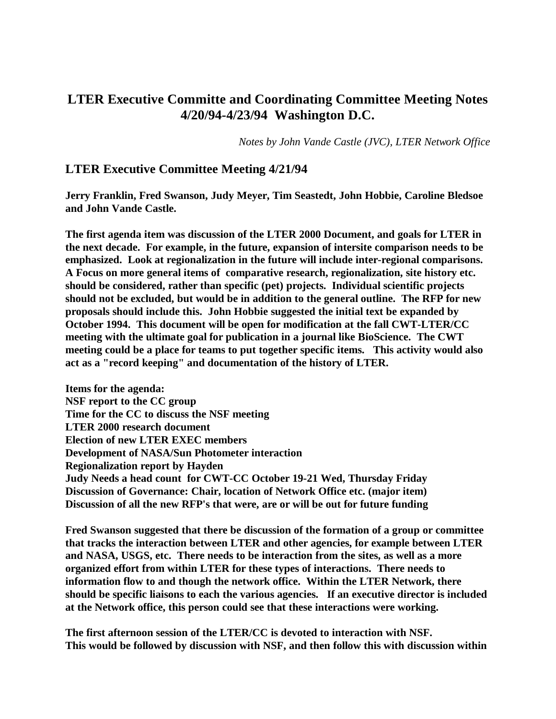# **LTER Executive Committe and Coordinating Committee Meeting Notes 4/20/94-4/23/94 Washington D.C.**

*Notes by John Vande Castle (JVC), LTER Network Office*

## **LTER Executive Committee Meeting 4/21/94**

**Jerry Franklin, Fred Swanson, Judy Meyer, Tim Seastedt, John Hobbie, Caroline Bledsoe and John Vande Castle.**

**The first agenda item was discussion of the LTER 2000 Document, and goals for LTER in the next decade. For example, in the future, expansion of intersite comparison needs to be emphasized. Look at regionalization in the future will include inter-regional comparisons. A Focus on more general items of comparative research, regionalization, site history etc. should be considered, rather than specific (pet) projects. Individual scientific projects should not be excluded, but would be in addition to the general outline. The RFP for new proposals should include this. John Hobbie suggested the initial text be expanded by October 1994. This document will be open for modification at the fall CWT-LTER/CC meeting with the ultimate goal for publication in a journal like BioScience. The CWT meeting could be a place for teams to put together specific items. This activity would also act as a "record keeping" and documentation of the history of LTER.**

**Items for the agenda: NSF report to the CC group Time for the CC to discuss the NSF meeting LTER 2000 research document Election of new LTER EXEC members Development of NASA/Sun Photometer interaction Regionalization report by Hayden Judy Needs a head count for CWT-CC October 19-21 Wed, Thursday Friday Discussion of Governance: Chair, location of Network Office etc. (major item) Discussion of all the new RFP's that were, are or will be out for future funding**

**Fred Swanson suggested that there be discussion of the formation of a group or committee that tracks the interaction between LTER and other agencies, for example between LTER and NASA, USGS, etc. There needs to be interaction from the sites, as well as a more organized effort from within LTER for these types of interactions. There needs to information flow to and though the network office. Within the LTER Network, there should be specific liaisons to each the various agencies. If an executive director is included at the Network office, this person could see that these interactions were working.**

**The first afternoon session of the LTER/CC is devoted to interaction with NSF. This would be followed by discussion with NSF, and then follow this with discussion within**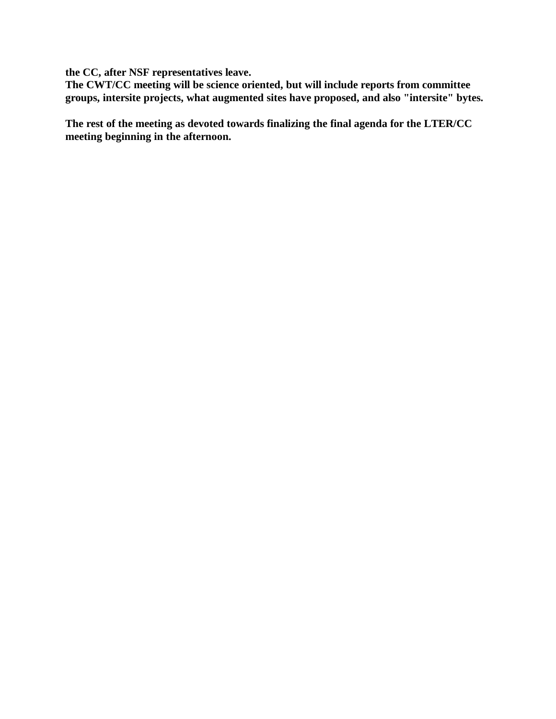**the CC, after NSF representatives leave.** 

**The CWT/CC meeting will be science oriented, but will include reports from committee groups, intersite projects, what augmented sites have proposed, and also "intersite" bytes.** 

**The rest of the meeting as devoted towards finalizing the final agenda for the LTER/CC meeting beginning in the afternoon.**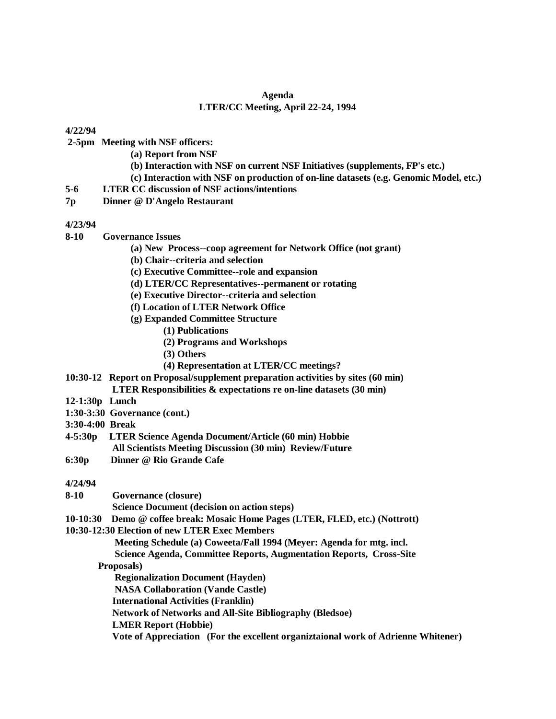#### **Agenda LTER/CC Meeting, April 22-24, 1994**

#### **4/22/94**

**2-5pm Meeting with NSF officers:**

- **(a) Report from NSF**
- **(b) Interaction with NSF on current NSF Initiatives (supplements, FP's etc.)**
- **(c) Interaction with NSF on production of on-line datasets (e.g. Genomic Model, etc.)**
- **5-6 LTER CC discussion of NSF actions/intentions**
- **7p Dinner @ D'Angelo Restaurant**

### **4/23/94**

- **8-10 Governance Issues**
	- **(a) New Process--coop agreement for Network Office (not grant)**
	- **(b) Chair--criteria and selection**
	- **(c) Executive Committee--role and expansion**
	- **(d) LTER/CC Representatives--permanent or rotating**
	- **(e) Executive Director--criteria and selection**
	- **(f) Location of LTER Network Office**
	- **(g) Expanded Committee Structure**
		- **(1) Publications**
		- **(2) Programs and Workshops**
		- **(3) Others**
		- **(4) Representation at LTER/CC meetings?**
- **10:30-12 Report on Proposal/supplement preparation activities by sites (60 min) LTER Responsibilities & expectations re on-line datasets (30 min)**
- **12-1:30p Lunch**
- **1:30-3:30 Governance (cont.)**
- **3:30-4:00 Break**
- **4-5:30p LTER Science Agenda Document/Article (60 min) Hobbie All Scientists Meeting Discussion (30 min) Review/Future**
- **6:30p Dinner @ Rio Grande Cafe**

### **4/24/94**

- **8-10 Governance (closure)**
	- **Science Document (decision on action steps)**
- **10-10:30 Demo @ coffee break: Mosaic Home Pages (LTER, FLED, etc.) (Nottrott)**

#### **10:30-12:30 Election of new LTER Exec Members**

- **Meeting Schedule (a) Coweeta/Fall 1994 (Meyer: Agenda for mtg. incl.**
- **Science Agenda, Committee Reports, Augmentation Reports, Cross-Site**

### **Proposals)**

 **Regionalization Document (Hayden)**

 **NASA Collaboration (Vande Castle)**

 **International Activities (Franklin)**

 **Network of Networks and All-Site Bibliography (Bledsoe)**

 **LMER Report (Hobbie)**

 **Vote of Appreciation (For the excellent organiztaional work of Adrienne Whitener)**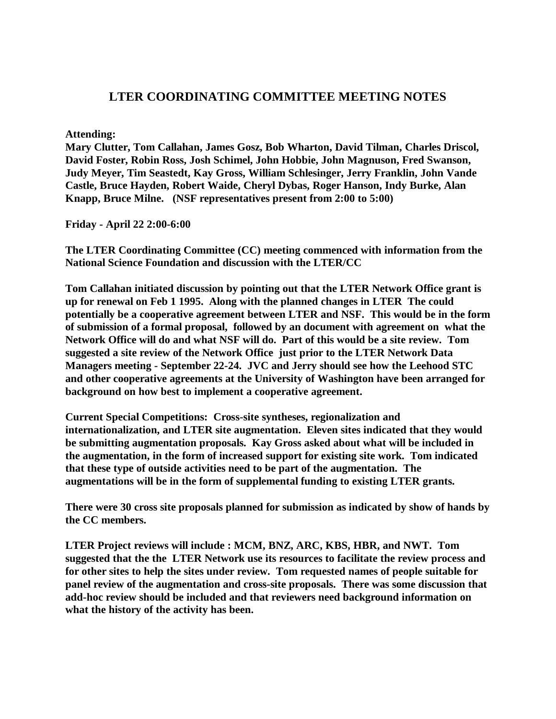## **LTER COORDINATING COMMITTEE MEETING NOTES**

**Attending:**

**Mary Clutter, Tom Callahan, James Gosz, Bob Wharton, David Tilman, Charles Driscol, David Foster, Robin Ross, Josh Schimel, John Hobbie, John Magnuson, Fred Swanson, Judy Meyer, Tim Seastedt, Kay Gross, William Schlesinger, Jerry Franklin, John Vande Castle, Bruce Hayden, Robert Waide, Cheryl Dybas, Roger Hanson, Indy Burke, Alan Knapp, Bruce Milne. (NSF representatives present from 2:00 to 5:00)**

**Friday - April 22 2:00-6:00**

**The LTER Coordinating Committee (CC) meeting commenced with information from the National Science Foundation and discussion with the LTER/CC**

**Tom Callahan initiated discussion by pointing out that the LTER Network Office grant is up for renewal on Feb 1 1995. Along with the planned changes in LTER The could potentially be a cooperative agreement between LTER and NSF. This would be in the form of submission of a formal proposal, followed by an document with agreement on what the Network Office will do and what NSF will do. Part of this would be a site review. Tom suggested a site review of the Network Office just prior to the LTER Network Data Managers meeting - September 22-24. JVC and Jerry should see how the Leehood STC and other cooperative agreements at the University of Washington have been arranged for background on how best to implement a cooperative agreement.**

**Current Special Competitions: Cross-site syntheses, regionalization and internationalization, and LTER site augmentation. Eleven sites indicated that they would be submitting augmentation proposals. Kay Gross asked about what will be included in the augmentation, in the form of increased support for existing site work. Tom indicated that these type of outside activities need to be part of the augmentation. The augmentations will be in the form of supplemental funding to existing LTER grants.**

**There were 30 cross site proposals planned for submission as indicated by show of hands by the CC members.**

**LTER Project reviews will include : MCM, BNZ, ARC, KBS, HBR, and NWT. Tom suggested that the the LTER Network use its resources to facilitate the review process and for other sites to help the sites under review. Tom requested names of people suitable for panel review of the augmentation and cross-site proposals. There was some discussion that add-hoc review should be included and that reviewers need background information on what the history of the activity has been.**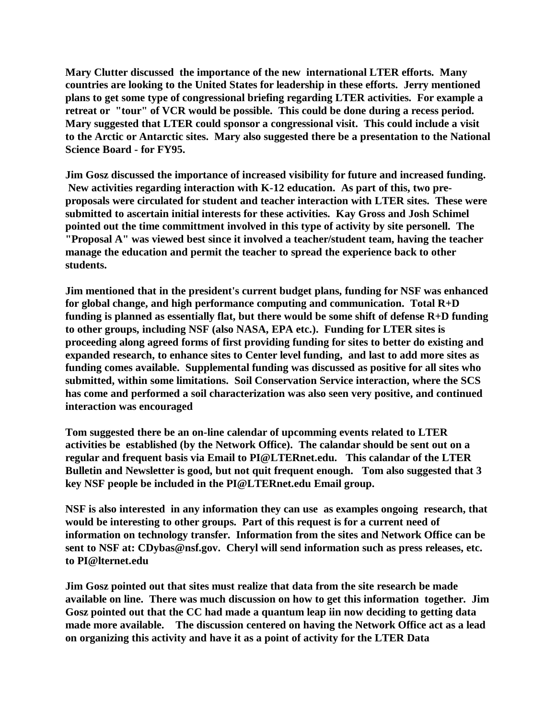**Mary Clutter discussed the importance of the new international LTER efforts. Many countries are looking to the United States for leadership in these efforts. Jerry mentioned plans to get some type of congressional briefing regarding LTER activities. For example a retreat or "tour" of VCR would be possible. This could be done during a recess period. Mary suggested that LTER could sponsor a congressional visit. This could include a visit to the Arctic or Antarctic sites. Mary also suggested there be a presentation to the National Science Board - for FY95.** 

**Jim Gosz discussed the importance of increased visibility for future and increased funding. New activities regarding interaction with K-12 education. As part of this, two preproposals were circulated for student and teacher interaction with LTER sites. These were submitted to ascertain initial interests for these activities. Kay Gross and Josh Schimel pointed out the time committment involved in this type of activity by site personell. The "Proposal A" was viewed best since it involved a teacher/student team, having the teacher manage the education and permit the teacher to spread the experience back to other students.** 

**Jim mentioned that in the president's current budget plans, funding for NSF was enhanced for global change, and high performance computing and communication. Total R+D funding is planned as essentially flat, but there would be some shift of defense R+D funding to other groups, including NSF (also NASA, EPA etc.). Funding for LTER sites is proceeding along agreed forms of first providing funding for sites to better do existing and expanded research, to enhance sites to Center level funding, and last to add more sites as funding comes available. Supplemental funding was discussed as positive for all sites who submitted, within some limitations. Soil Conservation Service interaction, where the SCS has come and performed a soil characterization was also seen very positive, and continued interaction was encouraged**

**Tom suggested there be an on-line calendar of upcomming events related to LTER activities be established (by the Network Office). The calandar should be sent out on a regular and frequent basis via Email to PI@LTERnet.edu. This calandar of the LTER Bulletin and Newsletter is good, but not quit frequent enough. Tom also suggested that 3 key NSF people be included in the PI@LTERnet.edu Email group.**

**NSF is also interested in any information they can use as examples ongoing research, that would be interesting to other groups. Part of this request is for a current need of information on technology transfer. Information from the sites and Network Office can be sent to NSF at: CDybas@nsf.gov. Cheryl will send information such as press releases, etc. to PI@lternet.edu**

**Jim Gosz pointed out that sites must realize that data from the site research be made available on line. There was much discussion on how to get this information together. Jim Gosz pointed out that the CC had made a quantum leap iin now deciding to getting data made more available. The discussion centered on having the Network Office act as a lead on organizing this activity and have it as a point of activity for the LTER Data**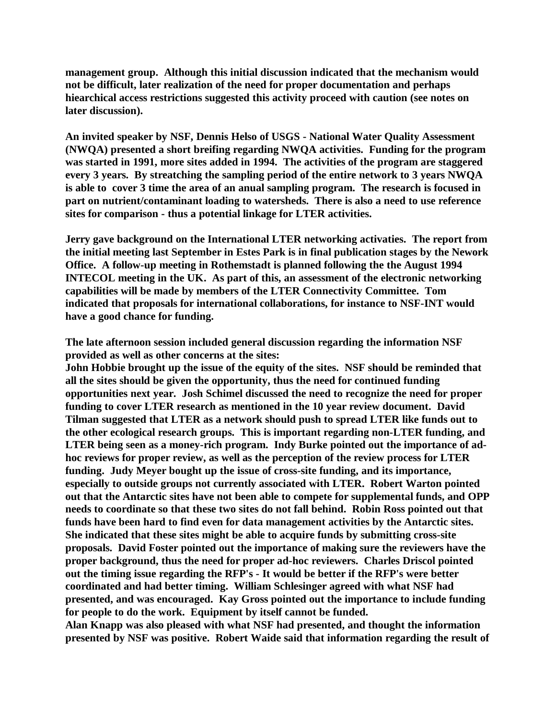**management group. Although this initial discussion indicated that the mechanism would not be difficult, later realization of the need for proper documentation and perhaps hiearchical access restrictions suggested this activity proceed with caution (see notes on later discussion).**

**An invited speaker by NSF, Dennis Helso of USGS - National Water Quality Assessment (NWQA) presented a short breifing regarding NWQA activities. Funding for the program was started in 1991, more sites added in 1994. The activities of the program are staggered every 3 years. By streatching the sampling period of the entire network to 3 years NWQA is able to cover 3 time the area of an anual sampling program. The research is focused in part on nutrient/contaminant loading to watersheds. There is also a need to use reference sites for comparison - thus a potential linkage for LTER activities.**

**Jerry gave background on the International LTER networking activaties. The report from the initial meeting last September in Estes Park is in final publication stages by the Nework Office. A follow-up meeting in Rothemstadt is planned following the the August 1994 INTECOL meeting in the UK. As part of this, an assessment of the electronic networking capabilities will be made by members of the LTER Connectivity Committee. Tom indicated that proposals for international collaborations, for instance to NSF-INT would have a good chance for funding.** 

**The late afternoon session included general discussion regarding the information NSF provided as well as other concerns at the sites:** 

**John Hobbie brought up the issue of the equity of the sites. NSF should be reminded that all the sites should be given the opportunity, thus the need for continued funding opportunities next year. Josh Schimel discussed the need to recognize the need for proper funding to cover LTER research as mentioned in the 10 year review document. David Tilman suggested that LTER as a network should push to spread LTER like funds out to the other ecological research groups. This is important regarding non-LTER funding, and LTER being seen as a money-rich program. Indy Burke pointed out the importance of adhoc reviews for proper review, as well as the perception of the review process for LTER funding. Judy Meyer bought up the issue of cross-site funding, and its importance, especially to outside groups not currently associated with LTER. Robert Warton pointed out that the Antarctic sites have not been able to compete for supplemental funds, and OPP needs to coordinate so that these two sites do not fall behind. Robin Ross pointed out that funds have been hard to find even for data management activities by the Antarctic sites. She indicated that these sites might be able to acquire funds by submitting cross-site proposals. David Foster pointed out the importance of making sure the reviewers have the proper background, thus the need for proper ad-hoc reviewers. Charles Driscol pointed out the timing issue regarding the RFP's - It would be better if the RFP's were better coordinated and had better timing. William Schlesinger agreed with what NSF had presented, and was encouraged. Kay Gross pointed out the importance to include funding for people to do the work. Equipment by itself cannot be funded.**

**Alan Knapp was also pleased with what NSF had presented, and thought the information presented by NSF was positive. Robert Waide said that information regarding the result of**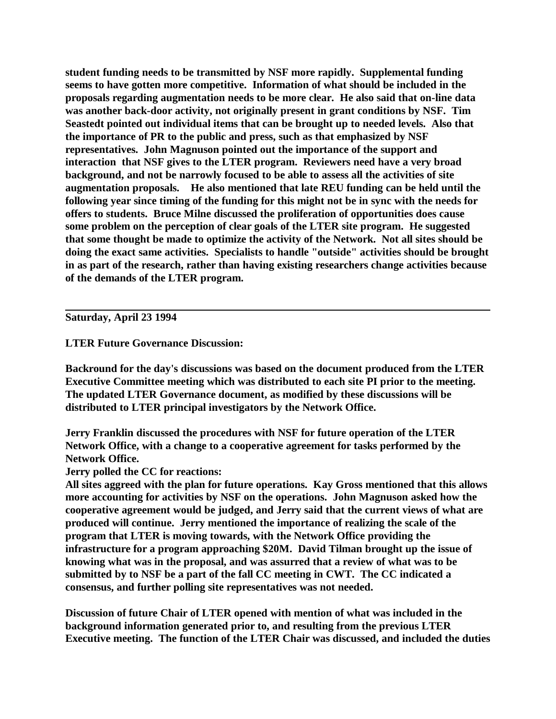**student funding needs to be transmitted by NSF more rapidly. Supplemental funding seems to have gotten more competitive. Information of what should be included in the proposals regarding augmentation needs to be more clear. He also said that on-line data was another back-door activity, not originally present in grant conditions by NSF. Tim Seastedt pointed out individual items that can be brought up to needed levels. Also that the importance of PR to the public and press, such as that emphasized by NSF representatives. John Magnuson pointed out the importance of the support and interaction that NSF gives to the LTER program. Reviewers need have a very broad background, and not be narrowly focused to be able to assess all the activities of site augmentation proposals. He also mentioned that late REU funding can be held until the following year since timing of the funding for this might not be in sync with the needs for offers to students. Bruce Milne discussed the proliferation of opportunities does cause some problem on the perception of clear goals of the LTER site program. He suggested that some thought be made to optimize the activity of the Network. Not all sites should be doing the exact same activities. Specialists to handle "outside" activities should be brought in as part of the research, rather than having existing researchers change activities because of the demands of the LTER program.**

**Saturday, April 23 1994**

**LTER Future Governance Discussion:**

**Backround for the day's discussions was based on the document produced from the LTER Executive Committee meeting which was distributed to each site PI prior to the meeting. The updated LTER Governance document, as modified by these discussions will be distributed to LTER principal investigators by the Network Office.**

**Jerry Franklin discussed the procedures with NSF for future operation of the LTER Network Office, with a change to a cooperative agreement for tasks performed by the Network Office.**

**Jerry polled the CC for reactions:**

**All sites aggreed with the plan for future operations. Kay Gross mentioned that this allows more accounting for activities by NSF on the operations. John Magnuson asked how the cooperative agreement would be judged, and Jerry said that the current views of what are produced will continue. Jerry mentioned the importance of realizing the scale of the program that LTER is moving towards, with the Network Office providing the infrastructure for a program approaching \$20M. David Tilman brought up the issue of knowing what was in the proposal, and was assurred that a review of what was to be submitted by to NSF be a part of the fall CC meeting in CWT. The CC indicated a consensus, and further polling site representatives was not needed.**

**Discussion of future Chair of LTER opened with mention of what was included in the background information generated prior to, and resulting from the previous LTER Executive meeting. The function of the LTER Chair was discussed, and included the duties**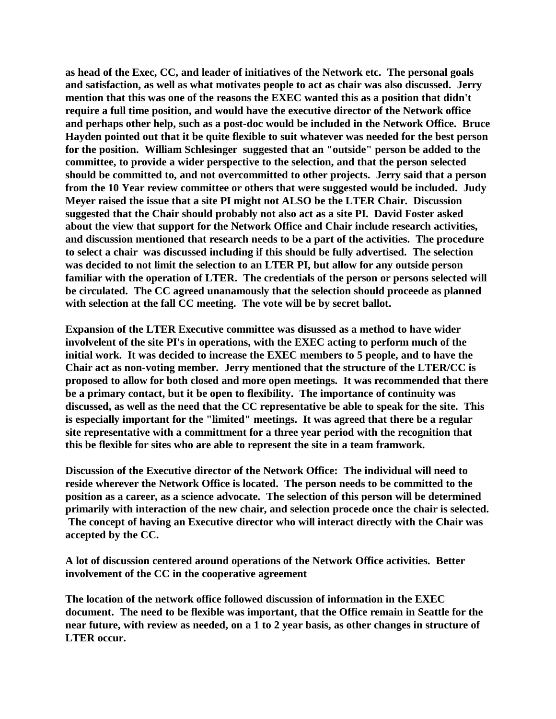**as head of the Exec, CC, and leader of initiatives of the Network etc. The personal goals and satisfaction, as well as what motivates people to act as chair was also discussed. Jerry mention that this was one of the reasons the EXEC wanted this as a position that didn't require a full time position, and would have the executive director of the Network office and perhaps other help, such as a post-doc would be included in the Network Office. Bruce Hayden pointed out that it be quite flexible to suit whatever was needed for the best person for the position. William Schlesinger suggested that an "outside" person be added to the committee, to provide a wider perspective to the selection, and that the person selected should be committed to, and not overcommitted to other projects. Jerry said that a person from the 10 Year review committee or others that were suggested would be included. Judy Meyer raised the issue that a site PI might not ALSO be the LTER Chair. Discussion suggested that the Chair should probably not also act as a site PI. David Foster asked about the view that support for the Network Office and Chair include research activities, and discussion mentioned that research needs to be a part of the activities. The procedure to select a chair was discussed including if this should be fully advertised. The selection was decided to not limit the selection to an LTER PI, but allow for any outside person familiar with the operation of LTER. The credentials of the person or persons selected will be circulated. The CC agreed unanamously that the selection should proceede as planned with selection at the fall CC meeting. The vote will be by secret ballot.**

**Expansion of the LTER Executive committee was disussed as a method to have wider involvelent of the site PI's in operations, with the EXEC acting to perform much of the initial work. It was decided to increase the EXEC members to 5 people, and to have the Chair act as non-voting member. Jerry mentioned that the structure of the LTER/CC is proposed to allow for both closed and more open meetings. It was recommended that there be a primary contact, but it be open to flexibility. The importance of continuity was discussed, as well as the need that the CC representative be able to speak for the site. This is especially important for the "limited" meetings. It was agreed that there be a regular site representative with a committment for a three year period with the recognition that this be flexible for sites who are able to represent the site in a team framwork.**

**Discussion of the Executive director of the Network Office: The individual will need to reside wherever the Network Office is located. The person needs to be committed to the position as a career, as a science advocate. The selection of this person will be determined primarily with interaction of the new chair, and selection procede once the chair is selected. The concept of having an Executive director who will interact directly with the Chair was accepted by the CC.**

**A lot of discussion centered around operations of the Network Office activities. Better involvement of the CC in the cooperative agreement**

**The location of the network office followed discussion of information in the EXEC document. The need to be flexible was important, that the Office remain in Seattle for the near future, with review as needed, on a 1 to 2 year basis, as other changes in structure of LTER occur.**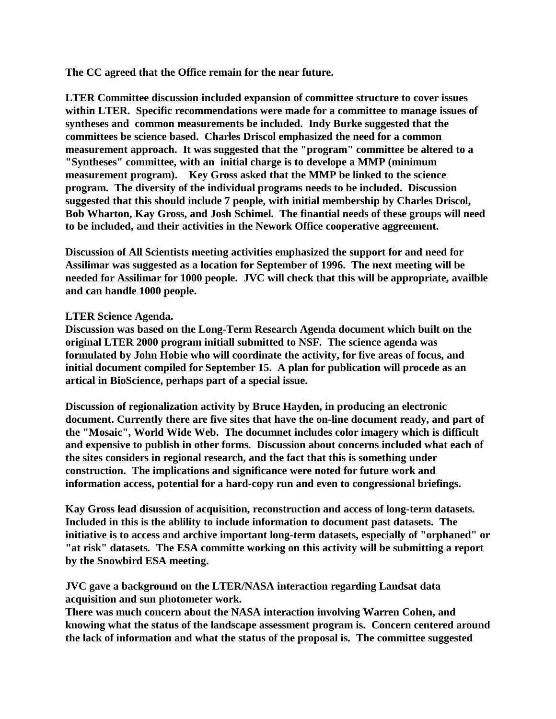**The CC agreed that the Office remain for the near future.**

**LTER Committee discussion included expansion of committee structure to cover issues within LTER. Specific recommendations were made for a committee to manage issues of syntheses and common measurements be included. Indy Burke suggested that the committees be science based. Charles Driscol emphasized the need for a common measurement approach. It was suggested that the "program" committee be altered to a "Syntheses" committee, with an initial charge is to develope a MMP (minimum measurement program). Key Gross asked that the MMP be linked to the science program. The diversity of the individual programs needs to be included. Discussion suggested that this should include 7 people, with initial membership by Charles Driscol, Bob Wharton, Kay Gross, and Josh Schimel. The finantial needs of these groups will need to be included, and their activities in the Nework Office cooperative aggreement.** 

**Discussion of All Scientists meeting activities emphasized the support for and need for Assilimar was suggested as a location for September of 1996. The next meeting will be needed for Assilimar for 1000 people. JVC will check that this will be appropriate, availble and can handle 1000 people.**

## **LTER Science Agenda.**

**Discussion was based on the Long-Term Research Agenda document which built on the original LTER 2000 program initiall submitted to NSF. The science agenda was formulated by John Hobie who will coordinate the activity, for five areas of focus, and initial document compiled for September 15. A plan for publication will procede as an artical in BioScience, perhaps part of a special issue.**

**Discussion of regionalization activity by Bruce Hayden, in producing an electronic document. Currently there are five sites that have the on-line document ready, and part of the "Mosaic", World Wide Web. The documnet includes color imagery which is difficult and expensive to publish in other forms. Discussion about concerns included what each of the sites considers in regional research, and the fact that this is something under construction. The implications and significance were noted for future work and information access, potential for a hard-copy run and even to congressional briefings.**

**Kay Gross lead disussion of acquisition, reconstruction and access of long-term datasets. Included in this is the ablility to include information to document past datasets. The initiative is to access and archive important long-term datasets, especially of "orphaned" or "at risk" datasets. The ESA committe working on this activity will be submitting a report by the Snowbird ESA meeting.** 

## **JVC gave a background on the LTER/NASA interaction regarding Landsat data acquisition and sun photometer work.**

**There was much concern about the NASA interaction involving Warren Cohen, and knowing what the status of the landscape assessment program is. Concern centered around the lack of information and what the status of the proposal is. The committee suggested**